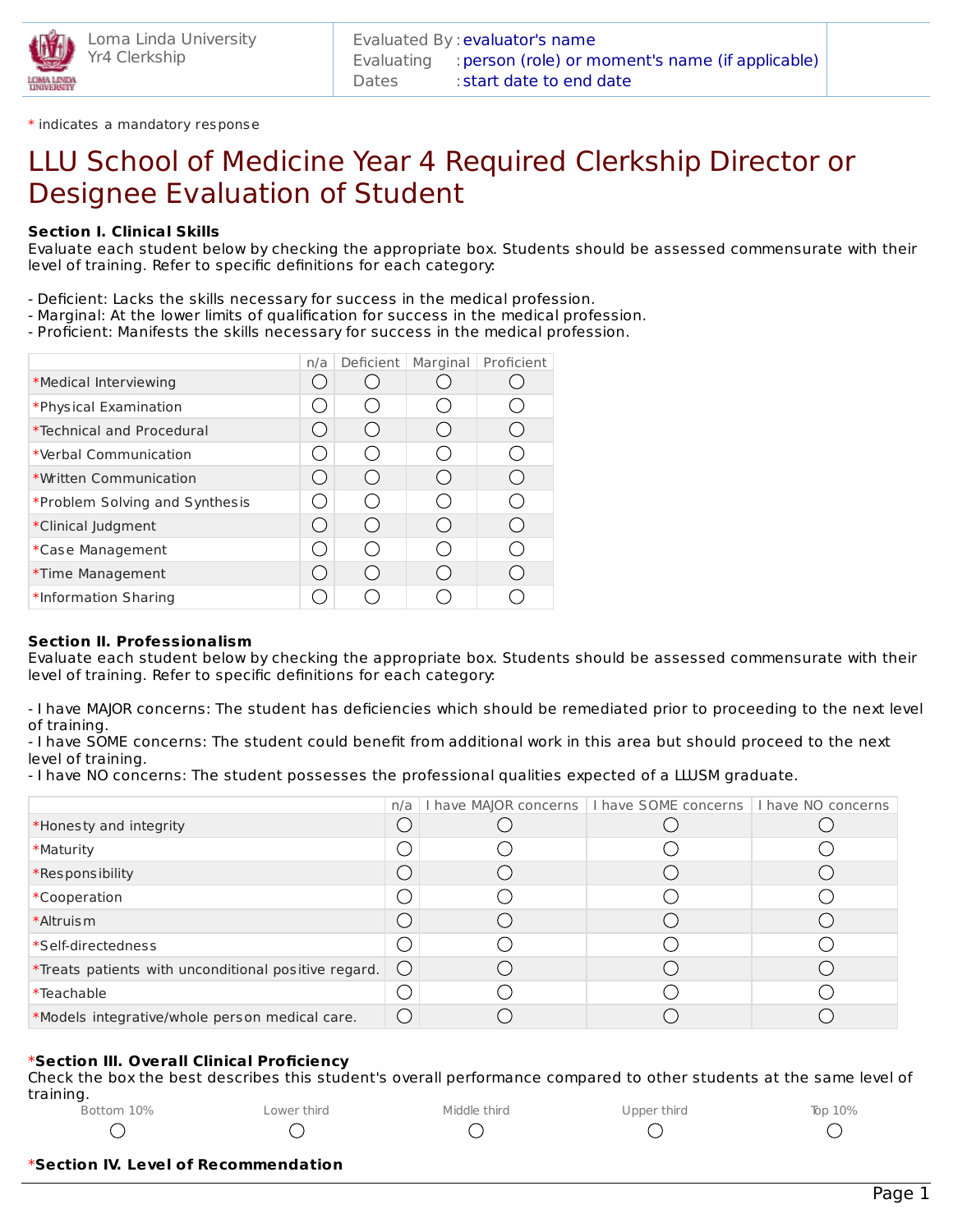

\* indicates a mandatory response

# LLU School of Medicine Year 4 Required Clerkship Director or Designee Evaluation of Student

## **Section I. Clinical Skills**

Evaluate each student below by checking the appropriate box. Students should be assessed commensurate with their level of training. Refer to specific definitions for each category:

- Deficient: Lacks the skills necessary for success in the medical profession.
- Marginal: At the lower limits of qualification for success in the medical profession.
- Proficient: Manifests the skills necessary for success in the medical profession.

|                                  | n/a | Deficient        | Marginal | Proficient |
|----------------------------------|-----|------------------|----------|------------|
| *Medical Interviewing            |     |                  |          |            |
| *Physical Examination            |     |                  |          |            |
| <i>*Technical and Procedural</i> |     | $($ )            |          |            |
| *Verbal Communication            |     | $\left( \right)$ |          |            |
| *Written Communication           |     | ( )              |          |            |
| *Problem Solving and Synthesis   |     | ⊖                |          |            |
| *Clinical Judgment               |     | $\left(\right)$  |          |            |
| *Case Management                 |     | 0                |          |            |
| *Time Management                 |     | $\bigcirc$       |          |            |
| *Information Sharing             |     |                  |          |            |

### **Section II. Professionalism**

Evaluate each student below by checking the appropriate box. Students should be assessed commensurate with their level of training. Refer to specific definitions for each category:

- I have MAJOR concerns: The student has deficiencies which should be remediated prior to proceeding to the next level of training.

- I have SOME concerns: The student could benefit from additional work in this area but should proceed to the next level of training.

- I have NO concerns: The student possesses the professional qualities expected of a LLUSM graduate.

|                                                      |                        | n/a   I have MAJOR concerns   I have SOME concerns   I have NO concerns |  |
|------------------------------------------------------|------------------------|-------------------------------------------------------------------------|--|
| *Honesty and integrity                               |                        |                                                                         |  |
| *Maturity                                            |                        |                                                                         |  |
| *Responsibility                                      |                        |                                                                         |  |
| *Cooperation                                         |                        |                                                                         |  |
| *Altruism                                            |                        |                                                                         |  |
| *Self-directedness                                   |                        |                                                                         |  |
| *Treats patients with unconditional positive regard. | $\left( \quad \right)$ |                                                                         |  |
| *Teachable                                           |                        |                                                                         |  |
| *Models integrative/whole person medical care.       | $\left( \quad \right)$ |                                                                         |  |

### \***Section III. Overall Clinical Proficiency**

Check the box the best describes this student's overall performance compared to other students at the same level of training.

| Bottom 10% | Lower third | Middle third | Upper third | Top $10\%$ |
|------------|-------------|--------------|-------------|------------|
|            |             |              |             |            |

#### \***Section IV. Level of Recommendation**